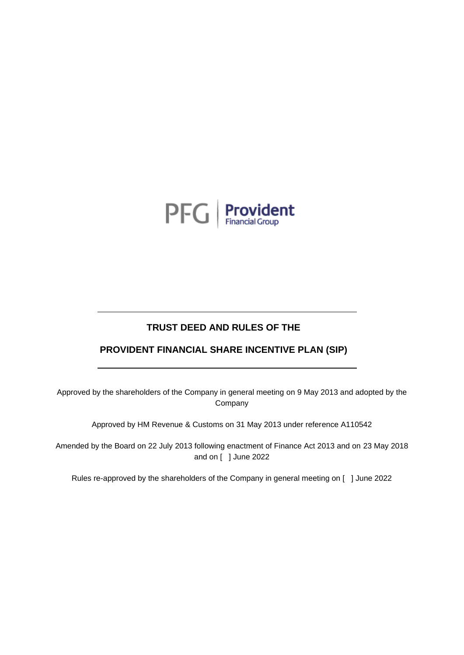

# **TRUST DEED AND RULES OF THE**

# **PROVIDENT FINANCIAL SHARE INCENTIVE PLAN (SIP)**

Approved by the shareholders of the Company in general meeting on 9 May 2013 and adopted by the Company

Approved by HM Revenue & Customs on 31 May 2013 under reference A110542

Amended by the Board on 22 July 2013 following enactment of Finance Act 2013 and on 23 May 2018 and on [ ] June 2022

Rules re-approved by the shareholders of the Company in general meeting on [ ] June 2022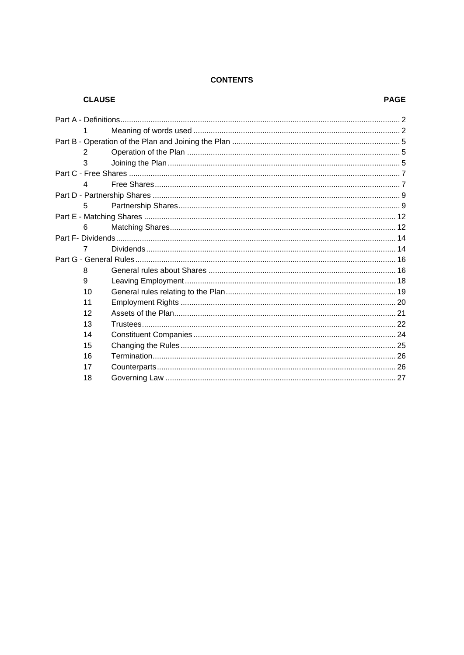# **CONTENTS**

| <b>CLAUSE</b> |  | <b>PAGE</b> |
|---------------|--|-------------|
|               |  |             |
|               |  |             |
|               |  |             |
| 2             |  |             |
| 3             |  |             |
|               |  |             |
| 4             |  |             |
|               |  |             |
| 5             |  |             |
|               |  |             |
| 6             |  |             |
|               |  |             |
| 7             |  |             |
|               |  |             |
| 8             |  |             |
| 9             |  |             |
| 10            |  |             |
| 11            |  |             |
| 12            |  |             |
| 13            |  |             |
| 14            |  |             |
| 15            |  |             |
| 16            |  |             |
| 17            |  |             |
| 18            |  |             |
|               |  |             |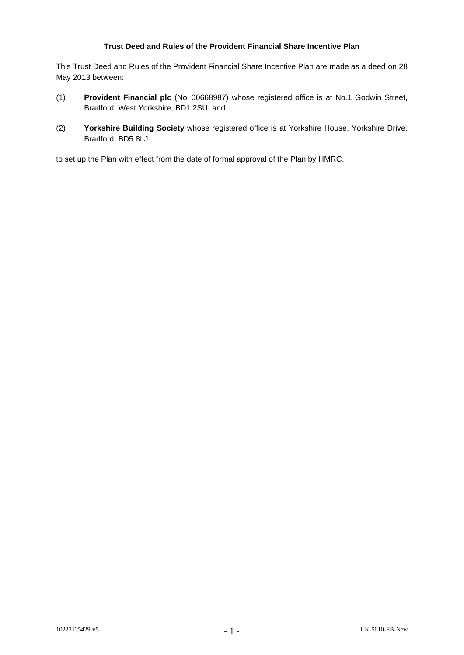# **Trust Deed and Rules of the Provident Financial Share Incentive Plan**

This Trust Deed and Rules of the Provident Financial Share Incentive Plan are made as a deed on 28 May 2013 between:

- (1) **Provident Financial plc** (No. 00668987) whose registered office is at No.1 Godwin Street, Bradford, West Yorkshire, BD1 2SU; and
- (2) **Yorkshire Building Society** whose registered office is at Yorkshire House, Yorkshire Drive, Bradford, BD5 8LJ

to set up the Plan with effect from the date of formal approval of the Plan by HMRC.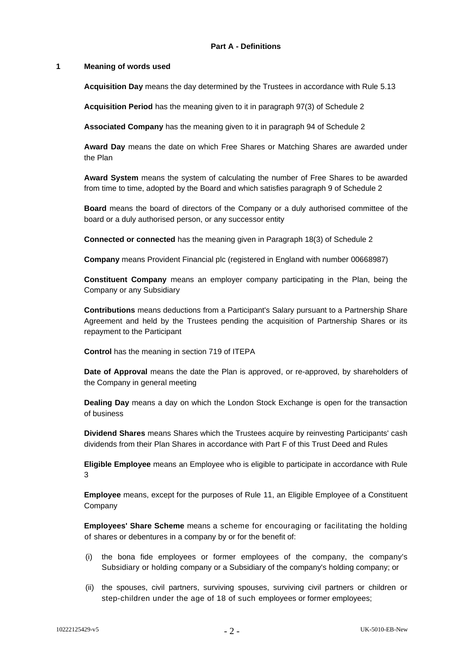#### <span id="page-3-1"></span><span id="page-3-0"></span>**1 Meaning of words used**

**Acquisition Day** means the day determined by the Trustees in accordance with Rule [5.13](#page-12-0)

**Acquisition Period** has the meaning given to it in paragraph 97(3) of Schedule 2

**Associated Company** has the meaning given to it in paragraph 94 of Schedule 2

**Award Day** means the date on which Free Shares or Matching Shares are awarded under the Plan

**Award System** means the system of calculating the number of Free Shares to be awarded from time to time, adopted by the Board and which satisfies paragraph 9 of Schedule 2

**Board** means the board of directors of the Company or a duly authorised committee of the board or a duly authorised person, or any successor entity

**Connected or connected** has the meaning given in Paragraph 18(3) of Schedule 2

**Company** means Provident Financial plc (registered in England with number 00668987)

**Constituent Company** means an employer company participating in the Plan, being the Company or any Subsidiary

**Contributions** means deductions from a Participant's Salary pursuant to a Partnership Share Agreement and held by the Trustees pending the acquisition of Partnership Shares or its repayment to the Participant

**Control** has the meaning in section 719 of ITEPA

**Date of Approval** means the date the Plan is approved, or re-approved, by shareholders of the Company in general meeting

**Dealing Day** means a day on which the London Stock Exchange is open for the transaction of business

**Dividend Shares** means Shares which the Trustees acquire by reinvesting Participants' cash dividends from their Plan Shares in accordance with Part F of this Trust Deed and Rules

**Eligible Employee** means an Employee who is eligible to participate in accordance with Rule [3](#page-6-2)

**Employee** means, except for the purposes of Rule [11,](#page-21-0) an Eligible Employee of a Constituent Company

**Employees' Share Scheme** means a scheme for encouraging or facilitating the holding of shares or debentures in a company by or for the benefit of:

- (i) the bona fide employees or former employees of the company, the company's Subsidiary or holding company or a Subsidiary of the company's holding company; or
- (ii) the spouses, civil partners, surviving spouses, surviving civil partners or children or step-children under the age of 18 of such employees or former employees;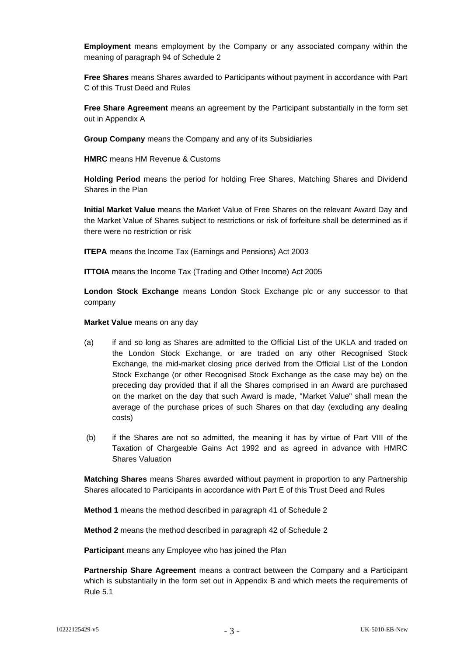**Employment** means employment by the Company or any associated company within the meaning of paragraph 94 of Schedule 2

**Free Shares** means Shares awarded to Participants without payment in accordance with Part C of this Trust Deed and Rules

**Free Share Agreement** means an agreement by the Participant substantially in the form set out in Appendix A

**Group Company** means the Company and any of its Subsidiaries

**HMRC** means HM Revenue & Customs

**Holding Period** means the period for holding Free Shares, Matching Shares and Dividend Shares in the Plan

**Initial Market Value** means the Market Value of Free Shares on the relevant Award Day and the Market Value of Shares subject to restrictions or risk of forfeiture shall be determined as if there were no restriction or risk

**ITEPA** means the Income Tax (Earnings and Pensions) Act 2003

**ITTOIA** means the Income Tax (Trading and Other Income) Act 2005

**London Stock Exchange** means London Stock Exchange plc or any successor to that company

**Market Value** means on any day

- (a) if and so long as Shares are admitted to the Official List of the UKLA and traded on the London Stock Exchange, or are traded on any other Recognised Stock Exchange, the mid-market closing price derived from the Official List of the London Stock Exchange (or other Recognised Stock Exchange as the case may be) on the preceding day provided that if all the Shares comprised in an Award are purchased on the market on the day that such Award is made, "Market Value" shall mean the average of the purchase prices of such Shares on that day (excluding any dealing costs)
- (b) if the Shares are not so admitted, the meaning it has by virtue of Part VIII of the Taxation of Chargeable Gains Act 1992 and as agreed in advance with HMRC Shares Valuation

**Matching Shares** means Shares awarded without payment in proportion to any Partnership Shares allocated to Participants in accordance with Part E of this Trust Deed and Rules

**Method 1** means the method described in paragraph 41 of Schedule 2

**Method 2** means the method described in paragraph 42 of Schedule 2

**Participant** means any Employee who has joined the Plan

**Partnership Share Agreement** means a contract between the Company and a Participant which is substantially in the form set out in Appendix B and which meets the requirements of Rule [5.1](#page-10-2)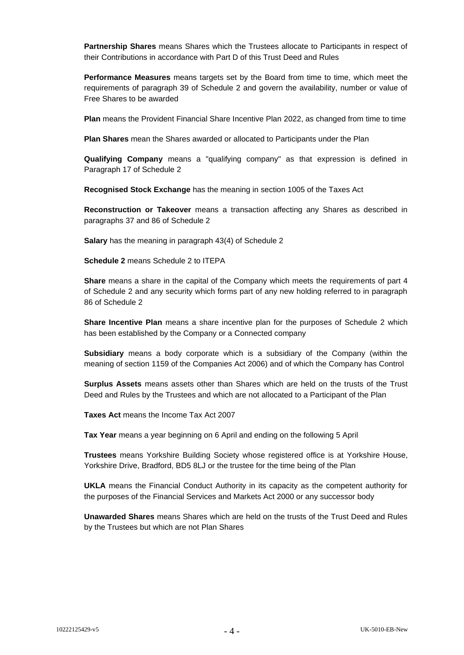**Partnership Shares** means Shares which the Trustees allocate to Participants in respect of their Contributions in accordance with Part D of this Trust Deed and Rules

**Performance Measures** means targets set by the Board from time to time, which meet the requirements of paragraph 39 of Schedule 2 and govern the availability, number or value of Free Shares to be awarded

**Plan** means the Provident Financial Share Incentive Plan 2022, as changed from time to time

**Plan Shares** mean the Shares awarded or allocated to Participants under the Plan

**Qualifying Company** means a "qualifying company" as that expression is defined in Paragraph 17 of Schedule 2

**Recognised Stock Exchange** has the meaning in section 1005 of the Taxes Act

**Reconstruction or Takeover** means a transaction affecting any Shares as described in paragraphs 37 and 86 of Schedule 2

**Salary** has the meaning in paragraph 43(4) of Schedule 2

**Schedule 2** means Schedule 2 to ITEPA

**Share** means a share in the capital of the Company which meets the requirements of part 4 of Schedule 2 and any security which forms part of any new holding referred to in paragraph 86 of Schedule 2

**Share Incentive Plan** means a share incentive plan for the purposes of Schedule 2 which has been established by the Company or a Connected company

**Subsidiary** means a body corporate which is a subsidiary of the Company (within the meaning of section 1159 of the Companies Act 2006) and of which the Company has Control

**Surplus Assets** means assets other than Shares which are held on the trusts of the Trust Deed and Rules by the Trustees and which are not allocated to a Participant of the Plan

**Taxes Act** means the Income Tax Act 2007

**Tax Year** means a year beginning on 6 April and ending on the following 5 April

**Trustees** means Yorkshire Building Society whose registered office is at Yorkshire House, Yorkshire Drive, Bradford, BD5 8LJ or the trustee for the time being of the Plan

**UKLA** means the Financial Conduct Authority in its capacity as the competent authority for the purposes of the Financial Services and Markets Act 2000 or any successor body

**Unawarded Shares** means Shares which are held on the trusts of the Trust Deed and Rules by the Trustees but which are not Plan Shares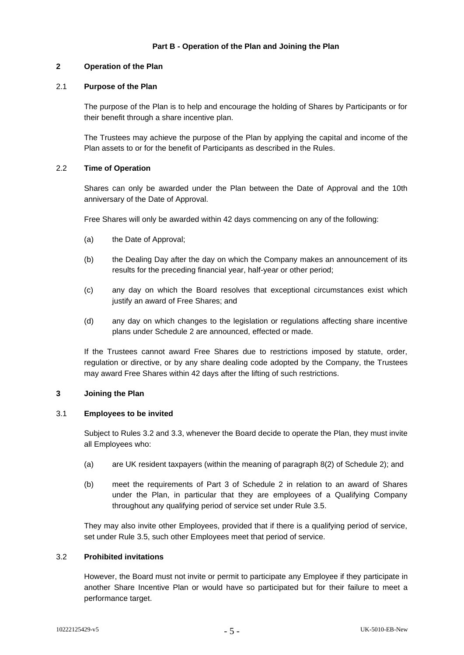# <span id="page-6-1"></span><span id="page-6-0"></span>**2 Operation of the Plan**

# 2.1 **Purpose of the Plan**

The purpose of the Plan is to help and encourage the holding of Shares by Participants or for their benefit through a share incentive plan.

The Trustees may achieve the purpose of the Plan by applying the capital and income of the Plan assets to or for the benefit of Participants as described in the Rules.

# 2.2 **Time of Operation**

Shares can only be awarded under the Plan between the Date of Approval and the 10th anniversary of the Date of Approval.

Free Shares will only be awarded within 42 days commencing on any of the following:

- (a) the Date of Approval;
- (b) the Dealing Day after the day on which the Company makes an announcement of its results for the preceding financial year, half-year or other period;
- (c) any day on which the Board resolves that exceptional circumstances exist which justify an award of Free Shares; and
- (d) any day on which changes to the legislation or regulations affecting share incentive plans under Schedule 2 are announced, effected or made.

If the Trustees cannot award Free Shares due to restrictions imposed by statute, order, regulation or directive, or by any share dealing code adopted by the Company, the Trustees may award Free Shares within 42 days after the lifting of such restrictions.

### <span id="page-6-2"></span>**3 Joining the Plan**

# 3.1 **Employees to be invited**

Subject to Rules [3.2](#page-6-3) and [3.3,](#page-7-0) whenever the Board decide to operate the Plan, they must invite all Employees who:

- (a) are UK resident taxpayers (within the meaning of paragraph 8(2) of Schedule 2); and
- (b) meet the requirements of Part 3 of Schedule 2 in relation to an award of Shares under the Plan, in particular that they are employees of a Qualifying Company throughout any qualifying period of service set under Rule [3.5.](#page-7-1)

They may also invite other Employees, provided that if there is a qualifying period of service, set under Rule [3.5,](#page-7-1) such other Employees meet that period of service.

### <span id="page-6-3"></span>3.2 **Prohibited invitations**

However, the Board must not invite or permit to participate any Employee if they participate in another Share Incentive Plan or would have so participated but for their failure to meet a performance target.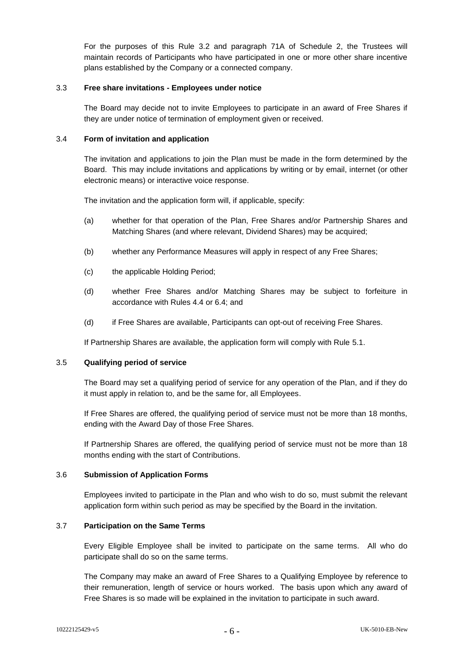For the purposes of this Rule [3.2](#page-6-3) and paragraph 71A of Schedule 2, the Trustees will maintain records of Participants who have participated in one or more other share incentive plans established by the Company or a connected company.

#### <span id="page-7-0"></span>3.3 **Free share invitations - Employees under notice**

The Board may decide not to invite Employees to participate in an award of Free Shares if they are under notice of termination of employment given or received.

#### 3.4 **Form of invitation and application**

The invitation and applications to join the Plan must be made in the form determined by the Board. This may include invitations and applications by writing or by email, internet (or other electronic means) or interactive voice response.

The invitation and the application form will, if applicable, specify:

- (a) whether for that operation of the Plan, Free Shares and/or Partnership Shares and Matching Shares (and where relevant, Dividend Shares) may be acquired;
- (b) whether any Performance Measures will apply in respect of any Free Shares;
- (c) the applicable Holding Period;
- (d) whether Free Shares and/or Matching Shares may be subject to forfeiture in accordance with Rules [4.4](#page-8-2) o[r 6.4;](#page-13-2) and
- (d) if Free Shares are available, Participants can opt-out of receiving Free Shares.

If Partnership Shares are available, the application form will comply with Rule [5.1.](#page-10-2)

#### <span id="page-7-1"></span>3.5 **Qualifying period of service**

The Board may set a qualifying period of service for any operation of the Plan, and if they do it must apply in relation to, and be the same for, all Employees.

If Free Shares are offered, the qualifying period of service must not be more than 18 months, ending with the Award Day of those Free Shares.

If Partnership Shares are offered, the qualifying period of service must not be more than 18 months ending with the start of Contributions.

### 3.6 **Submission of Application Forms**

Employees invited to participate in the Plan and who wish to do so, must submit the relevant application form within such period as may be specified by the Board in the invitation.

### 3.7 **Participation on the Same Terms**

Every Eligible Employee shall be invited to participate on the same terms. All who do participate shall do so on the same terms.

The Company may make an award of Free Shares to a Qualifying Employee by reference to their remuneration, length of service or hours worked. The basis upon which any award of Free Shares is so made will be explained in the invitation to participate in such award.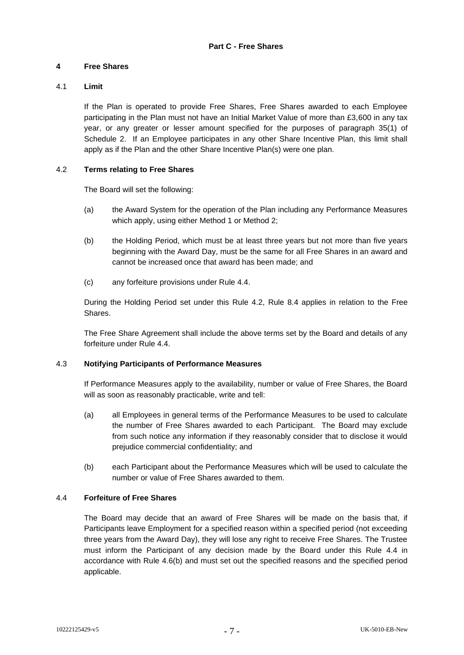# <span id="page-8-1"></span><span id="page-8-0"></span>**4 Free Shares**

# 4.1 **Limit**

If the Plan is operated to provide Free Shares, Free Shares awarded to each Employee participating in the Plan must not have an Initial Market Value of more than £3,600 in any tax year, or any greater or lesser amount specified for the purposes of paragraph 35(1) of Schedule 2. If an Employee participates in any other Share Incentive Plan, this limit shall apply as if the Plan and the other Share Incentive Plan(s) were one plan.

### <span id="page-8-3"></span>4.2 **Terms relating to Free Shares**

The Board will set the following:

- (a) the Award System for the operation of the Plan including any Performance Measures which apply, using either Method 1 or Method 2;
- <span id="page-8-4"></span>(b) the Holding Period, which must be at least three years but not more than five years beginning with the Award Day, must be the same for all Free Shares in an award and cannot be increased once that award has been made; and
- (c) any forfeiture provisions under Rule [4.4.](#page-8-2)

During the Holding Period set under this Rule [4.2,](#page-8-3) Rule [8.4](#page-17-2) applies in relation to the Free Shares.

The Free Share Agreement shall include the above terms set by the Board and details of any forfeiture under Rule [4.4.](#page-8-2)

### 4.3 **Notifying Participants of Performance Measures**

If Performance Measures apply to the availability, number or value of Free Shares, the Board will as soon as reasonably practicable, write and tell:

- (a) all Employees in general terms of the Performance Measures to be used to calculate the number of Free Shares awarded to each Participant. The Board may exclude from such notice any information if they reasonably consider that to disclose it would prejudice commercial confidentiality; and
- (b) each Participant about the Performance Measures which will be used to calculate the number or value of Free Shares awarded to them.

### <span id="page-8-2"></span>4.4 **Forfeiture of Free Shares**

The Board may decide that an award of Free Shares will be made on the basis that, if Participants leave Employment for a specified reason within a specified period (not exceeding three years from the Award Day), they will lose any right to receive Free Shares. The Trustee must inform the Participant of any decision made by the Board under this Rule [4.4](#page-8-2) in accordance with Rule [4.6\(b\)](#page-9-0) and must set out the specified reasons and the specified period applicable.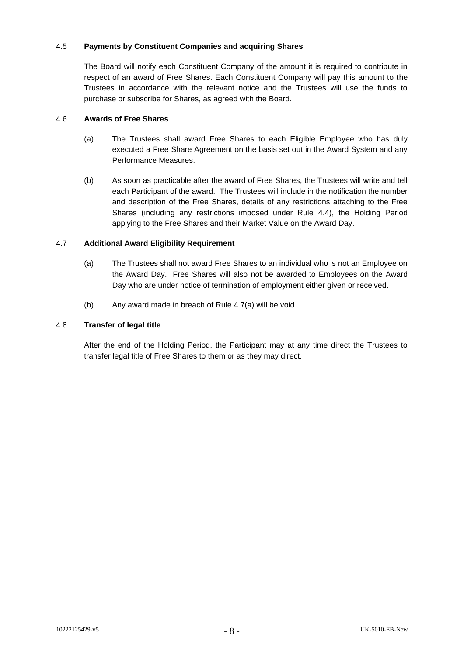# 4.5 **Payments by Constituent Companies and acquiring Shares**

The Board will notify each Constituent Company of the amount it is required to contribute in respect of an award of Free Shares. Each Constituent Company will pay this amount to the Trustees in accordance with the relevant notice and the Trustees will use the funds to purchase or subscribe for Shares, as agreed with the Board.

# 4.6 **Awards of Free Shares**

- (a) The Trustees shall award Free Shares to each Eligible Employee who has duly executed a Free Share Agreement on the basis set out in the Award System and any Performance Measures.
- <span id="page-9-0"></span>(b) As soon as practicable after the award of Free Shares, the Trustees will write and tell each Participant of the award. The Trustees will include in the notification the number and description of the Free Shares, details of any restrictions attaching to the Free Shares (including any restrictions imposed under Rule [4.4\)](#page-8-2), the Holding Period applying to the Free Shares and their Market Value on the Award Day.

# <span id="page-9-1"></span>4.7 **Additional Award Eligibility Requirement**

- (a) The Trustees shall not award Free Shares to an individual who is not an Employee on the Award Day. Free Shares will also not be awarded to Employees on the Award Day who are under notice of termination of employment either given or received.
- (b) Any award made in breach of Rule [4.7\(a\)](#page-9-1) will be void.

# 4.8 **Transfer of legal title**

After the end of the Holding Period, the Participant may at any time direct the Trustees to transfer legal title of Free Shares to them or as they may direct.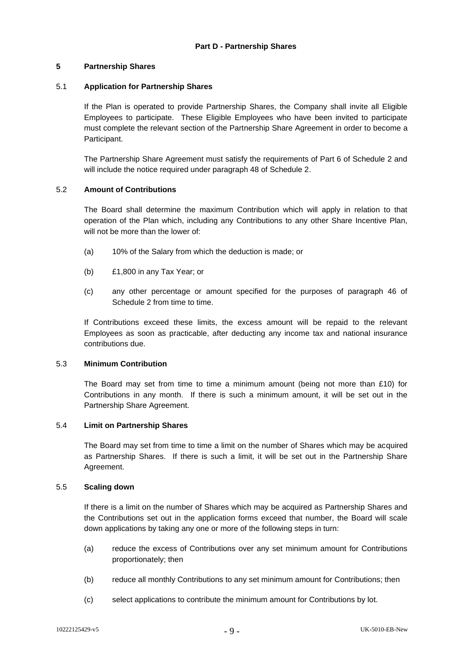# <span id="page-10-1"></span><span id="page-10-0"></span>**5 Partnership Shares**

# <span id="page-10-2"></span>5.1 **Application for Partnership Shares**

If the Plan is operated to provide Partnership Shares, the Company shall invite all Eligible Employees to participate. These Eligible Employees who have been invited to participate must complete the relevant section of the Partnership Share Agreement in order to become a Participant.

The Partnership Share Agreement must satisfy the requirements of Part 6 of Schedule 2 and will include the notice required under paragraph 48 of Schedule 2.

### 5.2 **Amount of Contributions**

The Board shall determine the maximum Contribution which will apply in relation to that operation of the Plan which, including any Contributions to any other Share Incentive Plan, will not be more than the lower of:

- (a) 10% of the Salary from which the deduction is made; or
- (b) £1,800 in any Tax Year; or
- (c) any other percentage or amount specified for the purposes of paragraph 46 of Schedule 2 from time to time.

If Contributions exceed these limits, the excess amount will be repaid to the relevant Employees as soon as practicable, after deducting any income tax and national insurance contributions due.

### 5.3 **Minimum Contribution**

The Board may set from time to time a minimum amount (being not more than  $£10$ ) for Contributions in any month. If there is such a minimum amount, it will be set out in the Partnership Share Agreement.

### 5.4 **Limit on Partnership Shares**

The Board may set from time to time a limit on the number of Shares which may be acquired as Partnership Shares. If there is such a limit, it will be set out in the Partnership Share Agreement.

### 5.5 **Scaling down**

If there is a limit on the number of Shares which may be acquired as Partnership Shares and the Contributions set out in the application forms exceed that number, the Board will scale down applications by taking any one or more of the following steps in turn:

- (a) reduce the excess of Contributions over any set minimum amount for Contributions proportionately; then
- (b) reduce all monthly Contributions to any set minimum amount for Contributions; then
- (c) select applications to contribute the minimum amount for Contributions by lot.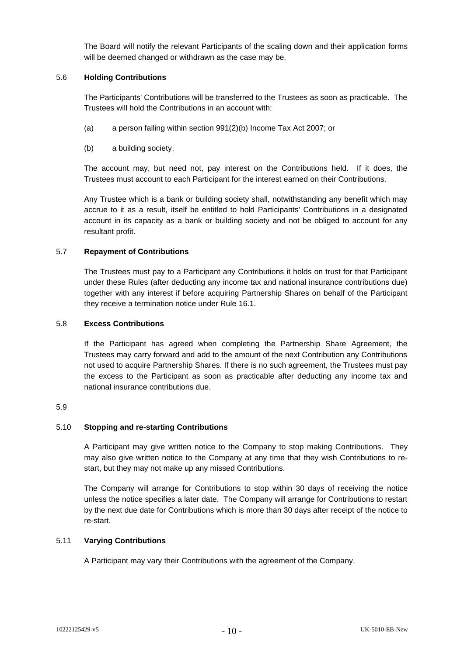The Board will notify the relevant Participants of the scaling down and their application forms will be deemed changed or withdrawn as the case may be.

### 5.6 **Holding Contributions**

The Participants' Contributions will be transferred to the Trustees as soon as practicable. The Trustees will hold the Contributions in an account with:

- (a) a person falling within section 991(2)(b) Income Tax Act 2007; or
- (b) a building society.

The account may, but need not, pay interest on the Contributions held. If it does, the Trustees must account to each Participant for the interest earned on their Contributions.

Any Trustee which is a bank or building society shall, notwithstanding any benefit which may accrue to it as a result, itself be entitled to hold Participants' Contributions in a designated account in its capacity as a bank or building society and not be obliged to account for any resultant profit.

#### <span id="page-11-0"></span>5.7 **Repayment of Contributions**

The Trustees must pay to a Participant any Contributions it holds on trust for that Participant under these Rules (after deducting any income tax and national insurance contributions due) together with any interest if before acquiring Partnership Shares on behalf of the Participant they receive a termination notice under Rule [16.1.](#page-27-2)

#### 5.8 **Excess Contributions**

If the Participant has agreed when completing the Partnership Share Agreement, the Trustees may carry forward and add to the amount of the next Contribution any Contributions not used to acquire Partnership Shares. If there is no such agreement, the Trustees must pay the excess to the Participant as soon as practicable after deducting any income tax and national insurance contributions due.

#### 5.9

#### 5.10 **Stopping and re-starting Contributions**

A Participant may give written notice to the Company to stop making Contributions. They may also give written notice to the Company at any time that they wish Contributions to restart, but they may not make up any missed Contributions.

The Company will arrange for Contributions to stop within 30 days of receiving the notice unless the notice specifies a later date. The Company will arrange for Contributions to restart by the next due date for Contributions which is more than 30 days after receipt of the notice to re-start.

#### 5.11 **Varying Contributions**

A Participant may vary their Contributions with the agreement of the Company.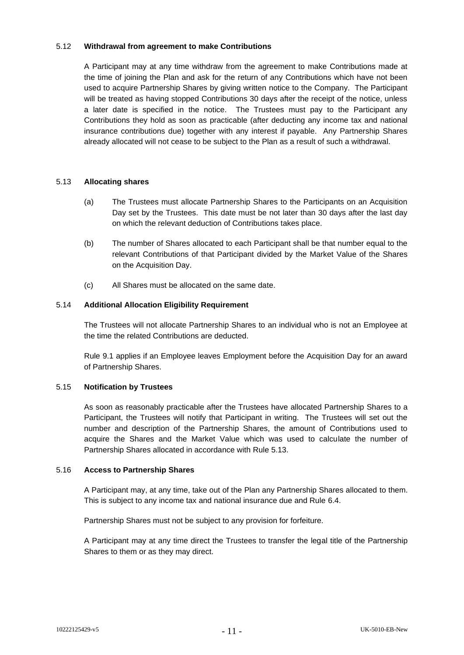#### 5.12 **Withdrawal from agreement to make Contributions**

A Participant may at any time withdraw from the agreement to make Contributions made at the time of joining the Plan and ask for the return of any Contributions which have not been used to acquire Partnership Shares by giving written notice to the Company. The Participant will be treated as having stopped Contributions 30 days after the receipt of the notice, unless a later date is specified in the notice. The Trustees must pay to the Participant any Contributions they hold as soon as practicable (after deducting any income tax and national insurance contributions due) together with any interest if payable. Any Partnership Shares already allocated will not cease to be subject to the Plan as a result of such a withdrawal.

#### <span id="page-12-0"></span>5.13 **Allocating shares**

- (a) The Trustees must allocate Partnership Shares to the Participants on an Acquisition Day set by the Trustees. This date must be not later than 30 days after the last day on which the relevant deduction of Contributions takes place.
- (b) The number of Shares allocated to each Participant shall be that number equal to the relevant Contributions of that Participant divided by the Market Value of the Shares on the Acquisition Day.
- (c) All Shares must be allocated on the same date.

#### 5.14 **Additional Allocation Eligibility Requirement**

The Trustees will not allocate Partnership Shares to an individual who is not an Employee at the time the related Contributions are deducted.

Rule [9.1](#page-19-1) applies if an Employee leaves Employment before the Acquisition Day for an award of Partnership Shares.

#### 5.15 **Notification by Trustees**

As soon as reasonably practicable after the Trustees have allocated Partnership Shares to a Participant, the Trustees will notify that Participant in writing. The Trustees will set out the number and description of the Partnership Shares, the amount of Contributions used to acquire the Shares and the Market Value which was used to calculate the number of Partnership Shares allocated in accordance with Rule [5.13.](#page-12-0)

#### 5.16 **Access to Partnership Shares**

A Participant may, at any time, take out of the Plan any Partnership Shares allocated to them. This is subject to any income tax and national insurance due and Rule [6.4.](#page-13-2)

Partnership Shares must not be subject to any provision for forfeiture.

A Participant may at any time direct the Trustees to transfer the legal title of the Partnership Shares to them or as they may direct.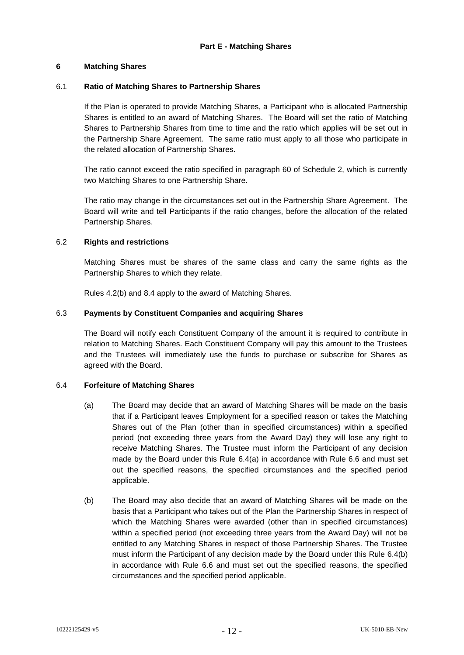# <span id="page-13-1"></span><span id="page-13-0"></span>**6 Matching Shares**

# 6.1 **Ratio of Matching Shares to Partnership Shares**

If the Plan is operated to provide Matching Shares, a Participant who is allocated Partnership Shares is entitled to an award of Matching Shares. The Board will set the ratio of Matching Shares to Partnership Shares from time to time and the ratio which applies will be set out in the Partnership Share Agreement. The same ratio must apply to all those who participate in the related allocation of Partnership Shares.

The ratio cannot exceed the ratio specified in paragraph 60 of Schedule 2, which is currently two Matching Shares to one Partnership Share.

The ratio may change in the circumstances set out in the Partnership Share Agreement. The Board will write and tell Participants if the ratio changes, before the allocation of the related Partnership Shares.

### 6.2 **Rights and restrictions**

Matching Shares must be shares of the same class and carry the same rights as the Partnership Shares to which they relate.

Rules [4.2\(b\)](#page-8-4) and [8.4](#page-17-2) apply to the award of Matching Shares.

### 6.3 **Payments by Constituent Companies and acquiring Shares**

The Board will notify each Constituent Company of the amount it is required to contribute in relation to Matching Shares. Each Constituent Company will pay this amount to the Trustees and the Trustees will immediately use the funds to purchase or subscribe for Shares as agreed with the Board.

### <span id="page-13-3"></span><span id="page-13-2"></span>6.4 **Forfeiture of Matching Shares**

- (a) The Board may decide that an award of Matching Shares will be made on the basis that if a Participant leaves Employment for a specified reason or takes the Matching Shares out of the Plan (other than in specified circumstances) within a specified period (not exceeding three years from the Award Day) they will lose any right to receive Matching Shares. The Trustee must inform the Participant of any decision made by the Board under this Rule [6.4\(a\)](#page-13-3) in accordance with Rule [6.6](#page-14-0) and must set out the specified reasons, the specified circumstances and the specified period applicable.
- <span id="page-13-4"></span>(b) The Board may also decide that an award of Matching Shares will be made on the basis that a Participant who takes out of the Plan the Partnership Shares in respect of which the Matching Shares were awarded (other than in specified circumstances) within a specified period (not exceeding three years from the Award Day) will not be entitled to any Matching Shares in respect of those Partnership Shares. The Trustee must inform the Participant of any decision made by the Board under this Rule [6.4\(b\)](#page-13-4) in accordance with Rule [6.6](#page-14-0) and must set out the specified reasons, the specified circumstances and the specified period applicable.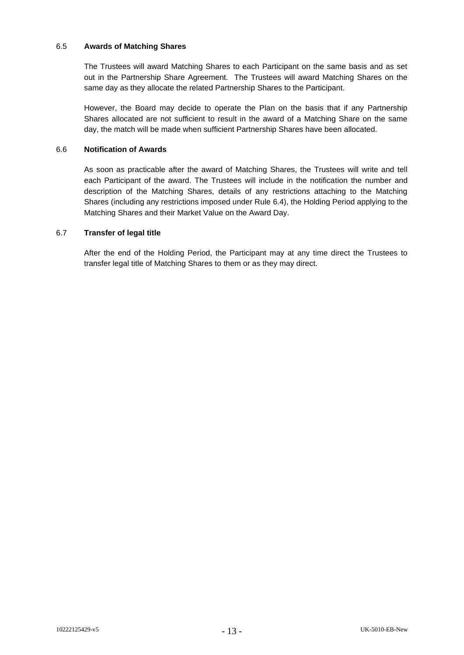### 6.5 **Awards of Matching Shares**

The Trustees will award Matching Shares to each Participant on the same basis and as set out in the Partnership Share Agreement. The Trustees will award Matching Shares on the same day as they allocate the related Partnership Shares to the Participant.

However, the Board may decide to operate the Plan on the basis that if any Partnership Shares allocated are not sufficient to result in the award of a Matching Share on the same day, the match will be made when sufficient Partnership Shares have been allocated.

# <span id="page-14-0"></span>6.6 **Notification of Awards**

As soon as practicable after the award of Matching Shares, the Trustees will write and tell each Participant of the award. The Trustees will include in the notification the number and description of the Matching Shares, details of any restrictions attaching to the Matching Shares (including any restrictions imposed under Rule [6.4\)](#page-13-2), the Holding Period applying to the Matching Shares and their Market Value on the Award Day.

#### 6.7 **Transfer of legal title**

After the end of the Holding Period, the Participant may at any time direct the Trustees to transfer legal title of Matching Shares to them or as they may direct.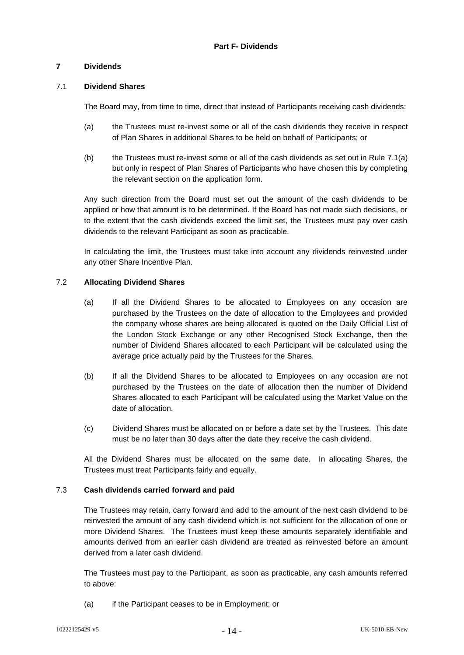# <span id="page-15-1"></span><span id="page-15-0"></span>**7 Dividends**

### <span id="page-15-7"></span>7.1 **Dividend Shares**

The Board may, from time to time, direct that instead of Participants receiving cash dividends:

- <span id="page-15-2"></span>(a) the Trustees must re-invest some or all of the cash dividends they receive in respect of Plan Shares in additional Shares to be held on behalf of Participants; or
- (b) the Trustees must re-invest some or all of the cash dividends as set out in Rule [7.1\(a\)](#page-15-2) but only in respect of Plan Shares of Participants who have chosen this by completing the relevant section on the application form.

Any such direction from the Board must set out the amount of the cash dividends to be applied or how that amount is to be determined. If the Board has not made such decisions, or to the extent that the cash dividends exceed the limit set, the Trustees must pay over cash dividends to the relevant Participant as soon as practicable.

In calculating the limit, the Trustees must take into account any dividends reinvested under any other Share Incentive Plan.

#### <span id="page-15-6"></span><span id="page-15-3"></span>7.2 **Allocating Dividend Shares**

- (a) If all the Dividend Shares to be allocated to Employees on any occasion are purchased by the Trustees on the date of allocation to the Employees and provided the company whose shares are being allocated is quoted on the Daily Official List of the London Stock Exchange or any other Recognised Stock Exchange, then the number of Dividend Shares allocated to each Participant will be calculated using the average price actually paid by the Trustees for the Shares.
- <span id="page-15-4"></span>(b) If all the Dividend Shares to be allocated to Employees on any occasion are not purchased by the Trustees on the date of allocation then the number of Dividend Shares allocated to each Participant will be calculated using the Market Value on the date of allocation.
- (c) Dividend Shares must be allocated on or before a date set by the Trustees. This date must be no later than 30 days after the date they receive the cash dividend.

All the Dividend Shares must be allocated on the same date. In allocating Shares, the Trustees must treat Participants fairly and equally.

### <span id="page-15-5"></span>7.3 **Cash dividends carried forward and paid**

The Trustees may retain, carry forward and add to the amount of the next cash dividend to be reinvested the amount of any cash dividend which is not sufficient for the allocation of one or more Dividend Shares. The Trustees must keep these amounts separately identifiable and amounts derived from an earlier cash dividend are treated as reinvested before an amount derived from a later cash dividend.

The Trustees must pay to the Participant, as soon as practicable, any cash amounts referred to above:

(a) if the Participant ceases to be in Employment; or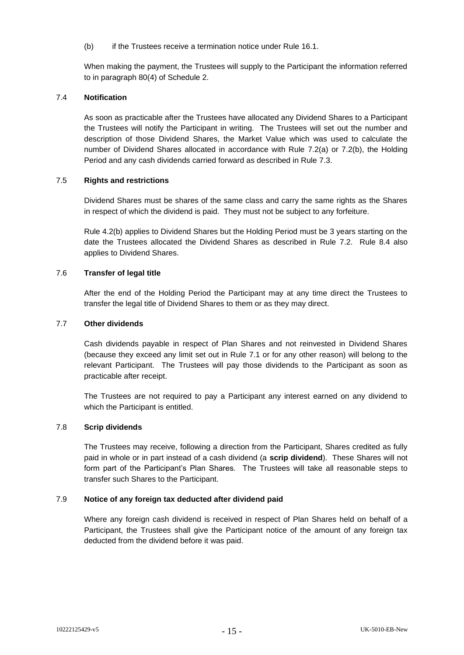(b) if the Trustees receive a termination notice under Rule [16.1.](#page-27-2)

When making the payment, the Trustees will supply to the Participant the information referred to in paragraph 80(4) of Schedule 2.

### 7.4 **Notification**

As soon as practicable after the Trustees have allocated any Dividend Shares to a Participant the Trustees will notify the Participant in writing. The Trustees will set out the number and description of those Dividend Shares, the Market Value which was used to calculate the number of Dividend Shares allocated in accordance with Rule [7.2\(a\)](#page-15-3) or [7.2\(b\),](#page-15-4) the Holding Period and any cash dividends carried forward as described in Rule [7.3.](#page-15-5)

#### 7.5 **Rights and restrictions**

Dividend Shares must be shares of the same class and carry the same rights as the Shares in respect of which the dividend is paid. They must not be subject to any forfeiture.

Rule [4.2\(b\)](#page-8-4) applies to Dividend Shares but the Holding Period must be 3 years starting on the date the Trustees allocated the Dividend Shares as described in Rule [7.2.](#page-15-6) Rule [8.4](#page-17-2) also applies to Dividend Shares.

#### 7.6 **Transfer of legal title**

After the end of the Holding Period the Participant may at any time direct the Trustees to transfer the legal title of Dividend Shares to them or as they may direct.

#### 7.7 **Other dividends**

Cash dividends payable in respect of Plan Shares and not reinvested in Dividend Shares (because they exceed any limit set out in Rule [7.1](#page-15-7) or for any other reason) will belong to the relevant Participant. The Trustees will pay those dividends to the Participant as soon as practicable after receipt.

The Trustees are not required to pay a Participant any interest earned on any dividend to which the Participant is entitled.

#### 7.8 **Scrip dividends**

The Trustees may receive, following a direction from the Participant, Shares credited as fully paid in whole or in part instead of a cash dividend (a **scrip dividend**). These Shares will not form part of the Participant's Plan Shares. The Trustees will take all reasonable steps to transfer such Shares to the Participant.

#### 7.9 **Notice of any foreign tax deducted after dividend paid**

Where any foreign cash dividend is received in respect of Plan Shares held on behalf of a Participant, the Trustees shall give the Participant notice of the amount of any foreign tax deducted from the dividend before it was paid.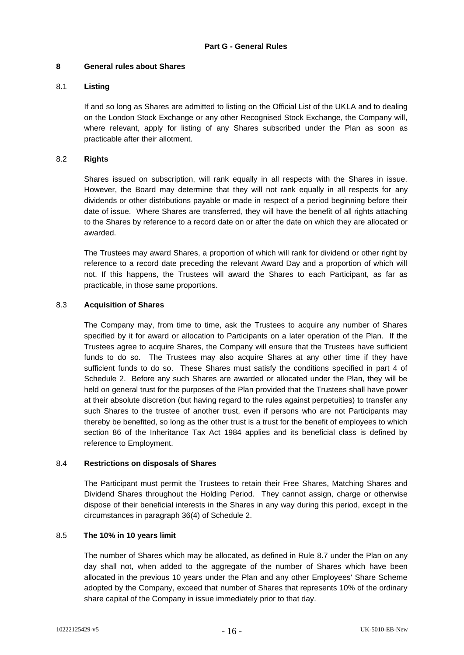# <span id="page-17-1"></span><span id="page-17-0"></span>**8 General rules about Shares**

# 8.1 **Listing**

If and so long as Shares are admitted to listing on the Official List of the UKLA and to dealing on the London Stock Exchange or any other Recognised Stock Exchange, the Company will, where relevant, apply for listing of any Shares subscribed under the Plan as soon as practicable after their allotment.

# 8.2 **Rights**

Shares issued on subscription, will rank equally in all respects with the Shares in issue. However, the Board may determine that they will not rank equally in all respects for any dividends or other distributions payable or made in respect of a period beginning before their date of issue. Where Shares are transferred, they will have the benefit of all rights attaching to the Shares by reference to a record date on or after the date on which they are allocated or awarded.

The Trustees may award Shares, a proportion of which will rank for dividend or other right by reference to a record date preceding the relevant Award Day and a proportion of which will not. If this happens, the Trustees will award the Shares to each Participant, as far as practicable, in those same proportions.

### 8.3 **Acquisition of Shares**

The Company may, from time to time, ask the Trustees to acquire any number of Shares specified by it for award or allocation to Participants on a later operation of the Plan. If the Trustees agree to acquire Shares, the Company will ensure that the Trustees have sufficient funds to do so. The Trustees may also acquire Shares at any other time if they have sufficient funds to do so. These Shares must satisfy the conditions specified in part 4 of Schedule 2. Before any such Shares are awarded or allocated under the Plan, they will be held on general trust for the purposes of the Plan provided that the Trustees shall have power at their absolute discretion (but having regard to the rules against perpetuities) to transfer any such Shares to the trustee of another trust, even if persons who are not Participants may thereby be benefited, so long as the other trust is a trust for the benefit of employees to which section 86 of the Inheritance Tax Act 1984 applies and its beneficial class is defined by reference to Employment.

### <span id="page-17-2"></span>8.4 **Restrictions on disposals of Shares**

The Participant must permit the Trustees to retain their Free Shares, Matching Shares and Dividend Shares throughout the Holding Period. They cannot assign, charge or otherwise dispose of their beneficial interests in the Shares in any way during this period, except in the circumstances in paragraph 36(4) of Schedule 2.

### <span id="page-17-3"></span>8.5 **The 10% in 10 years limit**

The number of Shares which may be allocated, as defined in Rule [8.7](#page-18-0) under the Plan on any day shall not, when added to the aggregate of the number of Shares which have been allocated in the previous 10 years under the Plan and any other Employees' Share Scheme adopted by the Company, exceed that number of Shares that represents 10% of the ordinary share capital of the Company in issue immediately prior to that day.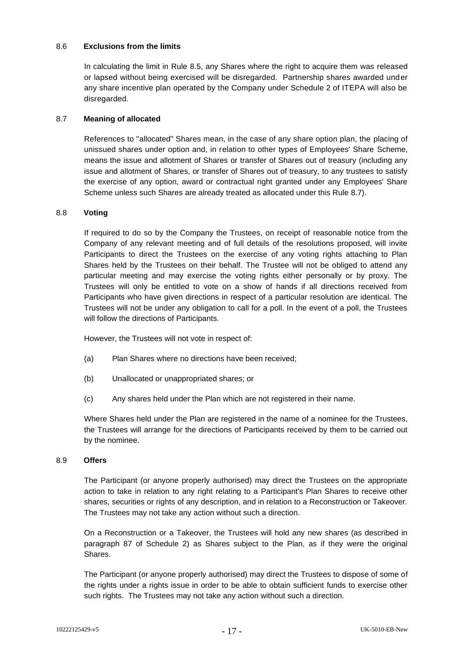### 8.6 **Exclusions from the limits**

In calculating the limit in Rule [8.5,](#page-17-3) any Shares where the right to acquire them was released or lapsed without being exercised will be disregarded. Partnership shares awarded under any share incentive plan operated by the Company under Schedule 2 of ITEPA will also be disregarded*.* 

#### <span id="page-18-0"></span>8.7 **Meaning of allocated**

References to "allocated" Shares mean, in the case of any share option plan, the placing of unissued shares under option and, in relation to other types of Employees' Share Scheme, means the issue and allotment of Shares or transfer of Shares out of treasury (including any issue and allotment of Shares, or transfer of Shares out of treasury, to any trustees to satisfy the exercise of any option, award or contractual right granted under any Employees' Share Scheme unless such Shares are already treated as allocated under this Rule [8.7\)](#page-18-0).

#### 8.8 **Voting**

If required to do so by the Company the Trustees, on receipt of reasonable notice from the Company of any relevant meeting and of full details of the resolutions proposed, will invite Participants to direct the Trustees on the exercise of any voting rights attaching to Plan Shares held by the Trustees on their behalf. The Trustee will not be obliged to attend any particular meeting and may exercise the voting rights either personally or by proxy. The Trustees will only be entitled to vote on a show of hands if all directions received from Participants who have given directions in respect of a particular resolution are identical. The Trustees will not be under any obligation to call for a poll. In the event of a poll, the Trustees will follow the directions of Participants.

However, the Trustees will not vote in respect of:

- (a) Plan Shares where no directions have been received;
- (b) Unallocated or unappropriated shares; or
- (c) Any shares held under the Plan which are not registered in their name.

Where Shares held under the Plan are registered in the name of a nominee for the Trustees, the Trustees will arrange for the directions of Participants received by them to be carried out by the nominee.

#### <span id="page-18-1"></span>8.9 **Offers**

The Participant (or anyone properly authorised) may direct the Trustees on the appropriate action to take in relation to any right relating to a Participant's Plan Shares to receive other shares, securities or rights of any description, and in relation to a Reconstruction or Takeover. The Trustees may not take any action without such a direction.

On a Reconstruction or a Takeover, the Trustees will hold any new shares (as described in paragraph 87 of Schedule 2) as Shares subject to the Plan, as if they were the original Shares.

The Participant (or anyone properly authorised) may direct the Trustees to dispose of some of the rights under a rights issue in order to be able to obtain sufficient funds to exercise other such rights. The Trustees may not take any action without such a direction.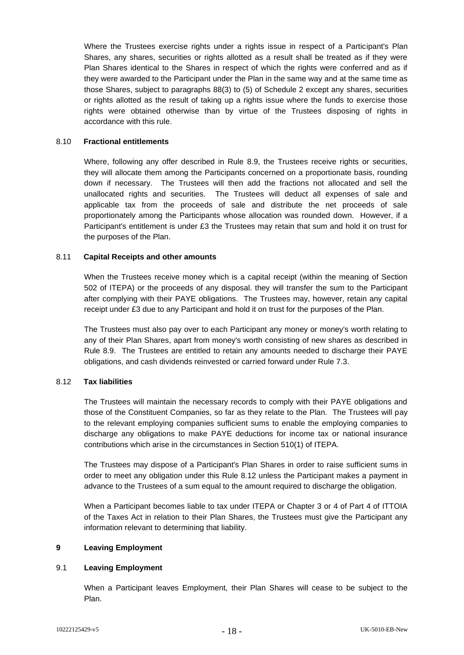Where the Trustees exercise rights under a rights issue in respect of a Participant's Plan Shares, any shares, securities or rights allotted as a result shall be treated as if they were Plan Shares identical to the Shares in respect of which the rights were conferred and as if they were awarded to the Participant under the Plan in the same way and at the same time as those Shares, subject to paragraphs 88(3) to (5) of Schedule 2 except any shares, securities or rights allotted as the result of taking up a rights issue where the funds to exercise those rights were obtained otherwise than by virtue of the Trustees disposing of rights in accordance with this rule.

#### 8.10 **Fractional entitlements**

Where, following any offer described in Rule [8.9,](#page-18-1) the Trustees receive rights or securities, they will allocate them among the Participants concerned on a proportionate basis, rounding down if necessary. The Trustees will then add the fractions not allocated and sell the unallocated rights and securities. The Trustees will deduct all expenses of sale and applicable tax from the proceeds of sale and distribute the net proceeds of sale proportionately among the Participants whose allocation was rounded down. However, if a Participant's entitlement is under £3 the Trustees may retain that sum and hold it on trust for the purposes of the Plan.

#### 8.11 **Capital Receipts and other amounts**

When the Trustees receive money which is a capital receipt (within the meaning of Section 502 of ITEPA) or the proceeds of any disposal. they will transfer the sum to the Participant after complying with their PAYE obligations. The Trustees may, however, retain any capital receipt under £3 due to any Participant and hold it on trust for the purposes of the Plan.

The Trustees must also pay over to each Participant any money or money's worth relating to any of their Plan Shares, apart from money's worth consisting of new shares as described in Rule [8.9.](#page-18-1) The Trustees are entitled to retain any amounts needed to discharge their PAYE obligations, and cash dividends reinvested or carried forward under Rule [7.3.](#page-15-5)

#### <span id="page-19-2"></span>8.12 **Tax liabilities**

The Trustees will maintain the necessary records to comply with their PAYE obligations and those of the Constituent Companies, so far as they relate to the Plan. The Trustees will pay to the relevant employing companies sufficient sums to enable the employing companies to discharge any obligations to make PAYE deductions for income tax or national insurance contributions which arise in the circumstances in Section 510(1) of ITEPA.

The Trustees may dispose of a Participant's Plan Shares in order to raise sufficient sums in order to meet any obligation under this Rule [8.12](#page-19-2) unless the Participant makes a payment in advance to the Trustees of a sum equal to the amount required to discharge the obligation.

When a Participant becomes liable to tax under ITEPA or Chapter 3 or 4 of Part 4 of ITTOIA of the Taxes Act in relation to their Plan Shares, the Trustees must give the Participant any information relevant to determining that liability.

#### <span id="page-19-0"></span>**9 Leaving Employment**

### <span id="page-19-1"></span>9.1 **Leaving Employment**

When a Participant leaves Employment, their Plan Shares will cease to be subject to the Plan.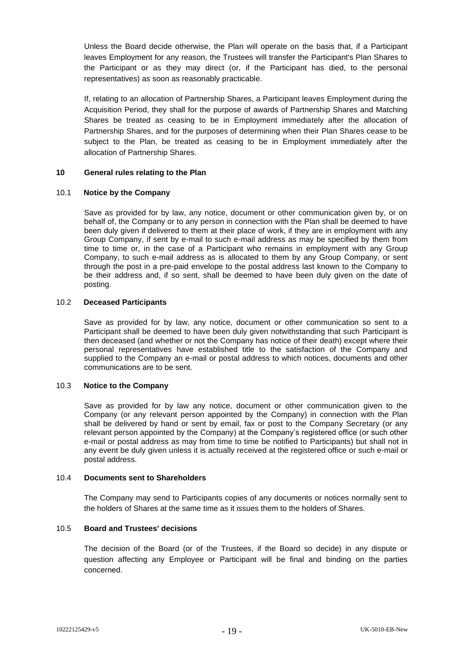Unless the Board decide otherwise, the Plan will operate on the basis that, if a Participant leaves Employment for any reason, the Trustees will transfer the Participant's Plan Shares to the Participant or as they may direct (or, if the Participant has died, to the personal representatives) as soon as reasonably practicable.

If, relating to an allocation of Partnership Shares, a Participant leaves Employment during the Acquisition Period, they shall for the purpose of awards of Partnership Shares and Matching Shares be treated as ceasing to be in Employment immediately after the allocation of Partnership Shares, and for the purposes of determining when their Plan Shares cease to be subject to the Plan, be treated as ceasing to be in Employment immediately after the allocation of Partnership Shares.

#### <span id="page-20-0"></span>**10 General rules relating to the Plan**

#### 10.1 **Notice by the Company**

Save as provided for by law, any notice, document or other communication given by, or on behalf of, the Company or to any person in connection with the Plan shall be deemed to have been duly given if delivered to them at their place of work, if they are in employment with any Group Company, if sent by e-mail to such e-mail address as may be specified by them from time to time or, in the case of a Participant who remains in employment with any Group Company, to such e-mail address as is allocated to them by any Group Company, or sent through the post in a pre-paid envelope to the postal address last known to the Company to be their address and, if so sent, shall be deemed to have been duly given on the date of posting.

### 10.2 **Deceased Participants**

Save as provided for by law, any notice, document or other communication so sent to a Participant shall be deemed to have been duly given notwithstanding that such Participant is then deceased (and whether or not the Company has notice of their death) except where their personal representatives have established title to the satisfaction of the Company and supplied to the Company an e-mail or postal address to which notices, documents and other communications are to be sent.

#### 10.3 **Notice to the Company**

Save as provided for by law any notice, document or other communication given to the Company (or any relevant person appointed by the Company) in connection with the Plan shall be delivered by hand or sent by email, fax or post to the Company Secretary (or any relevant person appointed by the Company) at the Company's registered office (or such other e-mail or postal address as may from time to time be notified to Participants) but shall not in any event be duly given unless it is actually received at the registered office or such e-mail or postal address.

#### 10.4 **Documents sent to Shareholders**

The Company may send to Participants copies of any documents or notices normally sent to the holders of Shares at the same time as it issues them to the holders of Shares.

#### 10.5 **Board and Trustees' decisions**

The decision of the Board (or of the Trustees, if the Board so decide) in any dispute or question affecting any Employee or Participant will be final and binding on the parties concerned.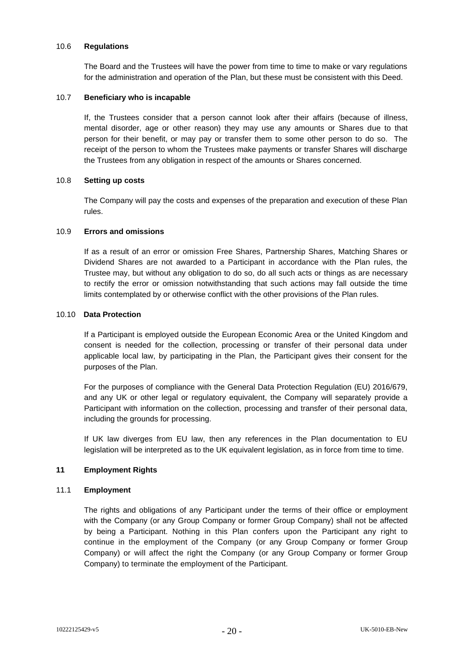#### 10.6 **Regulations**

The Board and the Trustees will have the power from time to time to make or vary regulations for the administration and operation of the Plan, but these must be consistent with this Deed.

#### 10.7 **Beneficiary who is incapable**

If, the Trustees consider that a person cannot look after their affairs (because of illness, mental disorder, age or other reason) they may use any amounts or Shares due to that person for their benefit, or may pay or transfer them to some other person to do so. The receipt of the person to whom the Trustees make payments or transfer Shares will discharge the Trustees from any obligation in respect of the amounts or Shares concerned.

#### 10.8 **Setting up costs**

The Company will pay the costs and expenses of the preparation and execution of these Plan rules.

#### 10.9 **Errors and omissions**

If as a result of an error or omission Free Shares, Partnership Shares, Matching Shares or Dividend Shares are not awarded to a Participant in accordance with the Plan rules, the Trustee may, but without any obligation to do so, do all such acts or things as are necessary to rectify the error or omission notwithstanding that such actions may fall outside the time limits contemplated by or otherwise conflict with the other provisions of the Plan rules.

#### 10.10 **Data Protection**

If a Participant is employed outside the European Economic Area or the United Kingdom and consent is needed for the collection, processing or transfer of their personal data under applicable local law, by participating in the Plan, the Participant gives their consent for the purposes of the Plan.

For the purposes of compliance with the General Data Protection Regulation (EU) 2016/679, and any UK or other legal or regulatory equivalent, the Company will separately provide a Participant with information on the collection, processing and transfer of their personal data, including the grounds for processing.

If UK law diverges from EU law, then any references in the Plan documentation to EU legislation will be interpreted as to the UK equivalent legislation, as in force from time to time.

### <span id="page-21-0"></span>**11 Employment Rights**

#### 11.1 **Employment**

The rights and obligations of any Participant under the terms of their office or employment with the Company (or any Group Company or former Group Company) shall not be affected by being a Participant. Nothing in this Plan confers upon the Participant any right to continue in the employment of the Company (or any Group Company or former Group Company) or will affect the right the Company (or any Group Company or former Group Company) to terminate the employment of the Participant.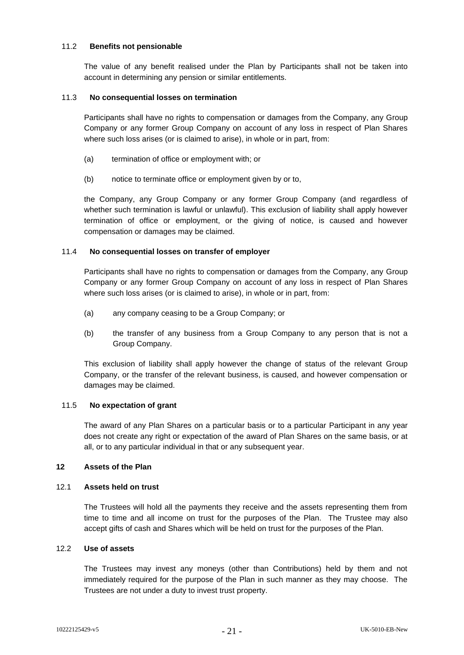### 11.2 **Benefits not pensionable**

The value of any benefit realised under the Plan by Participants shall not be taken into account in determining any pension or similar entitlements.

#### 11.3 **No consequential losses on termination**

Participants shall have no rights to compensation or damages from the Company, any Group Company or any former Group Company on account of any loss in respect of Plan Shares where such loss arises (or is claimed to arise), in whole or in part, from:

- (a) termination of office or employment with; or
- (b) notice to terminate office or employment given by or to,

the Company, any Group Company or any former Group Company (and regardless of whether such termination is lawful or unlawful). This exclusion of liability shall apply however termination of office or employment, or the giving of notice, is caused and however compensation or damages may be claimed.

#### 11.4 **No consequential losses on transfer of employer**

Participants shall have no rights to compensation or damages from the Company, any Group Company or any former Group Company on account of any loss in respect of Plan Shares where such loss arises (or is claimed to arise), in whole or in part, from:

- (a) any company ceasing to be a Group Company; or
- (b) the transfer of any business from a Group Company to any person that is not a Group Company.

This exclusion of liability shall apply however the change of status of the relevant Group Company, or the transfer of the relevant business, is caused, and however compensation or damages may be claimed.

### 11.5 **No expectation of grant**

The award of any Plan Shares on a particular basis or to a particular Participant in any year does not create any right or expectation of the award of Plan Shares on the same basis, or at all, or to any particular individual in that or any subsequent year.

# <span id="page-22-0"></span>**12 Assets of the Plan**

### 12.1 **Assets held on trust**

The Trustees will hold all the payments they receive and the assets representing them from time to time and all income on trust for the purposes of the Plan. The Trustee may also accept gifts of cash and Shares which will be held on trust for the purposes of the Plan.

# 12.2 **Use of assets**

The Trustees may invest any moneys (other than Contributions) held by them and not immediately required for the purpose of the Plan in such manner as they may choose. The Trustees are not under a duty to invest trust property.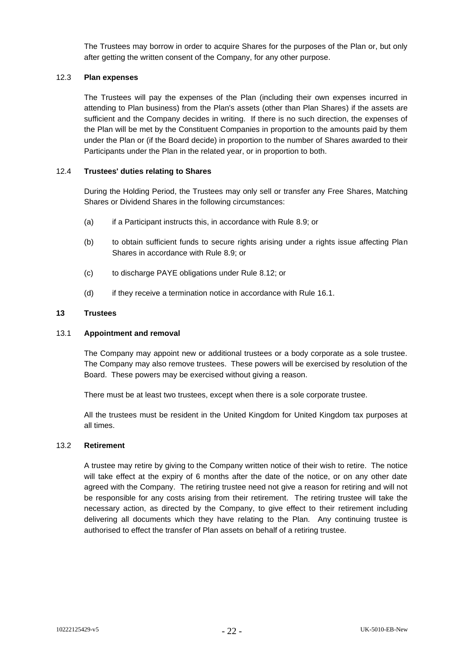The Trustees may borrow in order to acquire Shares for the purposes of the Plan or, but only after getting the written consent of the Company, for any other purpose.

### 12.3 **Plan expenses**

The Trustees will pay the expenses of the Plan (including their own expenses incurred in attending to Plan business) from the Plan's assets (other than Plan Shares) if the assets are sufficient and the Company decides in writing. If there is no such direction, the expenses of the Plan will be met by the Constituent Companies in proportion to the amounts paid by them under the Plan or (if the Board decide) in proportion to the number of Shares awarded to their Participants under the Plan in the related year, or in proportion to both.

#### 12.4 **Trustees' duties relating to Shares**

During the Holding Period, the Trustees may only sell or transfer any Free Shares, Matching Shares or Dividend Shares in the following circumstances:

- (a) if a Participant instructs this, in accordance with Rule [8.9;](#page-18-1) or
- (b) to obtain sufficient funds to secure rights arising under a rights issue affecting Plan Shares in accordance with Rule [8.9;](#page-18-1) or
- (c) to discharge PAYE obligations under Rule [8.12;](#page-19-2) or
- (d) if they receive a termination notice in accordance with Rule [16.1.](#page-27-2)

#### <span id="page-23-0"></span>**13 Trustees**

#### 13.1 **Appointment and removal**

The Company may appoint new or additional trustees or a body corporate as a sole trustee. The Company may also remove trustees. These powers will be exercised by resolution of the Board. These powers may be exercised without giving a reason.

There must be at least two trustees, except when there is a sole corporate trustee.

All the trustees must be resident in the United Kingdom for United Kingdom tax purposes at all times.

#### 13.2 **Retirement**

A trustee may retire by giving to the Company written notice of their wish to retire. The notice will take effect at the expiry of 6 months after the date of the notice, or on any other date agreed with the Company. The retiring trustee need not give a reason for retiring and will not be responsible for any costs arising from their retirement. The retiring trustee will take the necessary action, as directed by the Company, to give effect to their retirement including delivering all documents which they have relating to the Plan. Any continuing trustee is authorised to effect the transfer of Plan assets on behalf of a retiring trustee.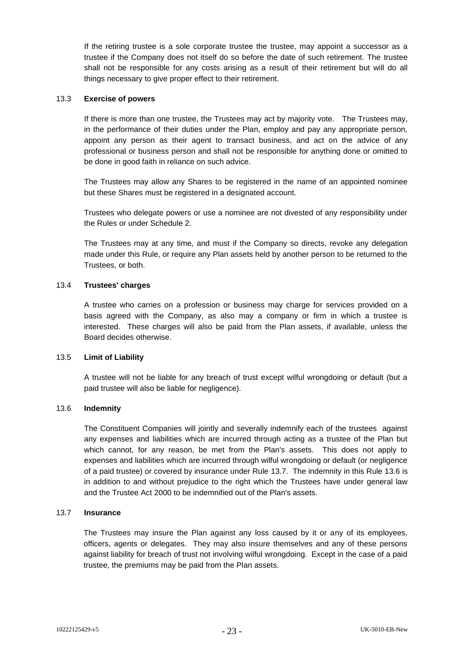If the retiring trustee is a sole corporate trustee the trustee, may appoint a successor as a trustee if the Company does not itself do so before the date of such retirement. The trustee shall not be responsible for any costs arising as a result of their retirement but will do all things necessary to give proper effect to their retirement.

# 13.3 **Exercise of powers**

If there is more than one trustee, the Trustees may act by majority vote. The Trustees may, in the performance of their duties under the Plan, employ and pay any appropriate person, appoint any person as their agent to transact business, and act on the advice of any professional or business person and shall not be responsible for anything done or omitted to be done in good faith in reliance on such advice.

The Trustees may allow any Shares to be registered in the name of an appointed nominee but these Shares must be registered in a designated account.

Trustees who delegate powers or use a nominee are not divested of any responsibility under the Rules or under Schedule 2.

The Trustees may at any time, and must if the Company so directs, revoke any delegation made under this Rule, or require any Plan assets held by another person to be returned to the Trustees, or both.

### 13.4 **Trustees' charges**

A trustee who carries on a profession or business may charge for services provided on a basis agreed with the Company, as also may a company or firm in which a trustee is interested. These charges will also be paid from the Plan assets, if available, unless the Board decides otherwise.

#### 13.5 **Limit of Liability**

A trustee will not be liable for any breach of trust except wilful wrongdoing or default (but a paid trustee will also be liable for negligence).

#### <span id="page-24-1"></span>13.6 **Indemnity**

The Constituent Companies will jointly and severally indemnify each of the trustees against any expenses and liabilities which are incurred through acting as a trustee of the Plan but which cannot, for any reason, be met from the Plan's assets. This does not apply to expenses and liabilities which are incurred through wilful wrongdoing or default (or negligence of a paid trustee) or covered by insurance under Rule [13.7.](#page-24-0) The indemnity in this Rule [13.6](#page-24-1) is in addition to and without prejudice to the right which the Trustees have under general law and the Trustee Act 2000 to be indemnified out of the Plan's assets.

#### <span id="page-24-0"></span>13.7 **Insurance**

The Trustees may insure the Plan against any loss caused by it or any of its employees, officers, agents or delegates. They may also insure themselves and any of these persons against liability for breach of trust not involving wilful wrongdoing. Except in the case of a paid trustee, the premiums may be paid from the Plan assets.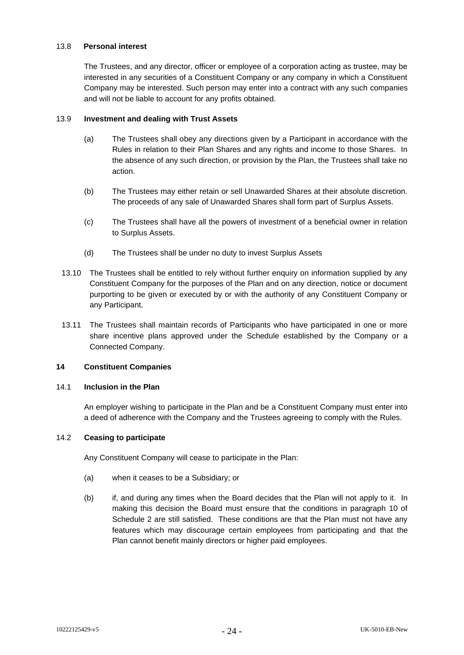#### 13.8 **Personal interest**

The Trustees, and any director, officer or employee of a corporation acting as trustee, may be interested in any securities of a Constituent Company or any company in which a Constituent Company may be interested. Such person may enter into a contract with any such companies and will not be liable to account for any profits obtained.

#### 13.9 **Investment and dealing with Trust Assets**

- (a) The Trustees shall obey any directions given by a Participant in accordance with the Rules in relation to their Plan Shares and any rights and income to those Shares. In the absence of any such direction, or provision by the Plan, the Trustees shall take no action.
- (b) The Trustees may either retain or sell Unawarded Shares at their absolute discretion. The proceeds of any sale of Unawarded Shares shall form part of Surplus Assets.
- (c) The Trustees shall have all the powers of investment of a beneficial owner in relation to Surplus Assets.
- (d) The Trustees shall be under no duty to invest Surplus Assets
- 13.10 The Trustees shall be entitled to rely without further enquiry on information supplied by any Constituent Company for the purposes of the Plan and on any direction, notice or document purporting to be given or executed by or with the authority of any Constituent Company or any Participant.
- 13.11 The Trustees shall maintain records of Participants who have participated in one or more share incentive plans approved under the Schedule established by the Company or a Connected Company.

# <span id="page-25-0"></span>**14 Constituent Companies**

### 14.1 **Inclusion in the Plan**

An employer wishing to participate in the Plan and be a Constituent Company must enter into a deed of adherence with the Company and the Trustees agreeing to comply with the Rules.

### 14.2 **Ceasing to participate**

Any Constituent Company will cease to participate in the Plan:

- (a) when it ceases to be a Subsidiary; or
- (b) if, and during any times when the Board decides that the Plan will not apply to it. In making this decision the Board must ensure that the conditions in paragraph 10 of Schedule 2 are still satisfied. These conditions are that the Plan must not have any features which may discourage certain employees from participating and that the Plan cannot benefit mainly directors or higher paid employees.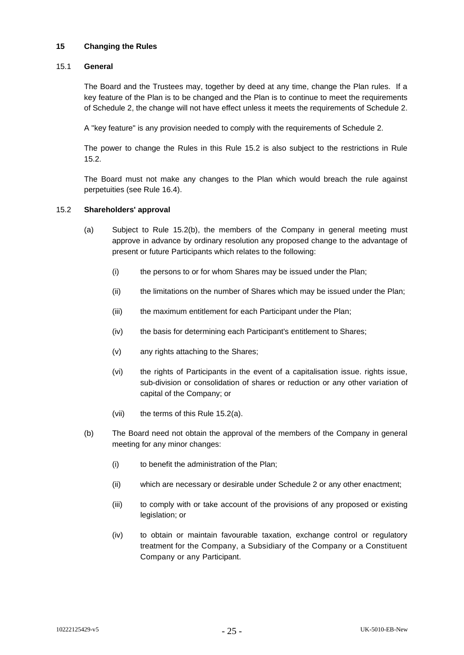### <span id="page-26-0"></span>**15 Changing the Rules**

#### 15.1 **General**

The Board and the Trustees may, together by deed at any time, change the Plan rules. If a key feature of the Plan is to be changed and the Plan is to continue to meet the requirements of Schedule 2, the change will not have effect unless it meets the requirements of Schedule 2.

A "key feature" is any provision needed to comply with the requirements of Schedule 2.

The power to change the Rules in this Rule 15.2 is also subject to the restrictions in Rule [15.2.](#page-26-1)

The Board must not make any changes to the Plan which would breach the rule against perpetuities (see Rule [16.4\)](#page-27-3).

#### <span id="page-26-3"></span><span id="page-26-1"></span>15.2 **Shareholders' approval**

- (a) Subject to Rule [15.2\(b\),](#page-26-2) the members of the Company in general meeting must approve in advance by ordinary resolution any proposed change to the advantage of present or future Participants which relates to the following:
	- (i) the persons to or for whom Shares may be issued under the Plan;
	- (ii) the limitations on the number of Shares which may be issued under the Plan;
	- (iii) the maximum entitlement for each Participant under the Plan;
	- (iv) the basis for determining each Participant's entitlement to Shares;
	- (v) any rights attaching to the Shares;
	- (vi) the rights of Participants in the event of a capitalisation issue. rights issue, sub-division or consolidation of shares or reduction or any other variation of capital of the Company; or
	- (vii) the terms of this Rule [15.2\(a\).](#page-26-3)
- <span id="page-26-2"></span>(b) The Board need not obtain the approval of the members of the Company in general meeting for any minor changes:
	- (i) to benefit the administration of the Plan;
	- (ii) which are necessary or desirable under Schedule 2 or any other enactment;
	- (iii) to comply with or take account of the provisions of any proposed or existing legislation; or
	- (iv) to obtain or maintain favourable taxation, exchange control or regulatory treatment for the Company, a Subsidiary of the Company or a Constituent Company or any Participant.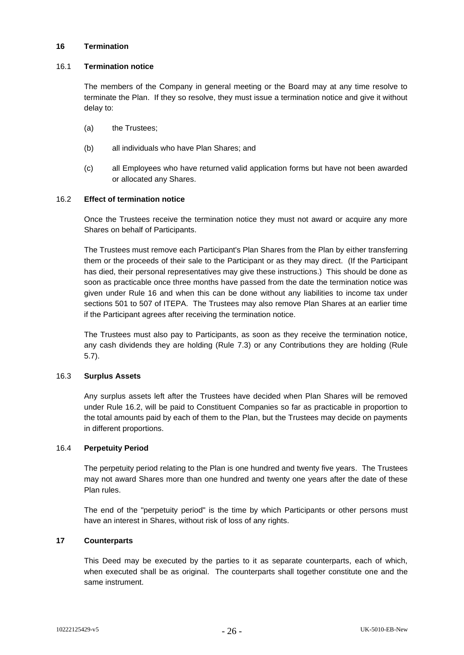#### <span id="page-27-0"></span>**16 Termination**

#### <span id="page-27-2"></span>16.1 **Termination notice**

The members of the Company in general meeting or the Board may at any time resolve to terminate the Plan. If they so resolve, they must issue a termination notice and give it without delay to:

- (a) the Trustees;
- (b) all individuals who have Plan Shares; and
- (c) all Employees who have returned valid application forms but have not been awarded or allocated any Shares.

### <span id="page-27-4"></span>16.2 **Effect of termination notice**

Once the Trustees receive the termination notice they must not award or acquire any more Shares on behalf of Participants.

The Trustees must remove each Participant's Plan Shares from the Plan by either transferring them or the proceeds of their sale to the Participant or as they may direct. (If the Participant has died, their personal representatives may give these instructions.) This should be done as soon as practicable once three months have passed from the date the termination notice was given under Rule [16](#page-27-0) and when this can be done without any liabilities to income tax under sections 501 to 507 of ITEPA. The Trustees may also remove Plan Shares at an earlier time if the Participant agrees after receiving the termination notice.

The Trustees must also pay to Participants, as soon as they receive the termination notice, any cash dividends they are holding (Rule [7.3\)](#page-15-5) or any Contributions they are holding (Rule [5.7\)](#page-11-0).

### 16.3 **Surplus Assets**

Any surplus assets left after the Trustees have decided when Plan Shares will be removed under Rule [16.2,](#page-27-4) will be paid to Constituent Companies so far as practicable in proportion to the total amounts paid by each of them to the Plan, but the Trustees may decide on payments in different proportions.

### <span id="page-27-3"></span>16.4 **Perpetuity Period**

The perpetuity period relating to the Plan is one hundred and twenty five years. The Trustees may not award Shares more than one hundred and twenty one years after the date of these Plan rules.

The end of the "perpetuity period" is the time by which Participants or other persons must have an interest in Shares, without risk of loss of any rights.

# <span id="page-27-1"></span>**17 Counterparts**

This Deed may be executed by the parties to it as separate counterparts, each of which, when executed shall be as original. The counterparts shall together constitute one and the same instrument.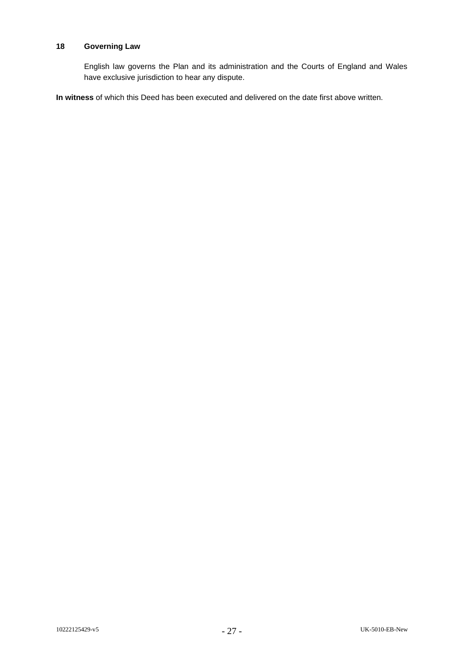### <span id="page-28-0"></span>**18 Governing Law**

English law governs the Plan and its administration and the Courts of England and Wales have exclusive jurisdiction to hear any dispute.

**In witness** of which this Deed has been executed and delivered on the date first above written.